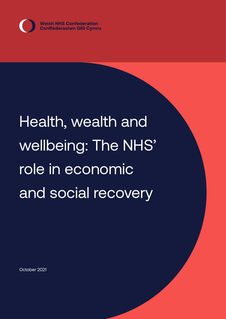

# Health, wealth and wellbeing: The NHS' role in economic and social recovery

October 2021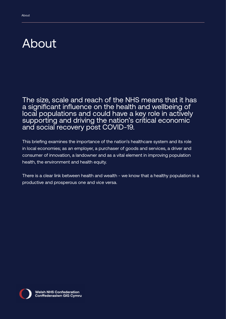### <span id="page-1-0"></span>About

The size, scale and reach of the NHS means that it has a significant influence on the health and wellbeing of local populations and could have a key role in actively supporting and driving the nation's critical economic and social recovery post COVID-19.

This briefing examines the importance of the nation's healthcare system and its role in local economies; as an employer, a purchaser of goods and services, a driver and consumer of innovation, a landowner and as a vital element in improving population health, the environment and health equity.

There is a clear link between health and wealth - we know that a healthy population is a productive and prosperous one and vice versa.

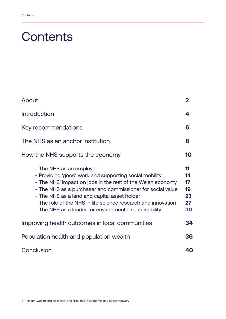### **Contents**

| About                                                                                                                                                                                                                                                                                                                                                                                     | 2                                      |
|-------------------------------------------------------------------------------------------------------------------------------------------------------------------------------------------------------------------------------------------------------------------------------------------------------------------------------------------------------------------------------------------|----------------------------------------|
| <b>Introduction</b>                                                                                                                                                                                                                                                                                                                                                                       | 4                                      |
| Key recommendations                                                                                                                                                                                                                                                                                                                                                                       | 6                                      |
| The NHS as an anchor institution                                                                                                                                                                                                                                                                                                                                                          | 8                                      |
| How the NHS supports the economy                                                                                                                                                                                                                                                                                                                                                          | 10                                     |
| - The NHS as an employer<br>- Providing 'good' work and supporting social mobility<br>- The NHS' impact on jobs in the rest of the Welsh economy<br>- The NHS as a purchaser and commissioner for social value<br>- The NHS as a land and capital asset holder<br>- The role of the NHS in life science research and innovation<br>- The NHS as a leader for environmental sustainability | 11<br>14<br>17<br>19<br>23<br>27<br>30 |
| Improving health outcomes in local communities                                                                                                                                                                                                                                                                                                                                            | 34                                     |
| Population health and population wealth                                                                                                                                                                                                                                                                                                                                                   | 36                                     |
| Conclusion                                                                                                                                                                                                                                                                                                                                                                                | 40                                     |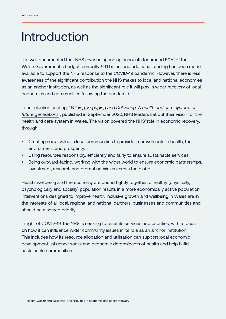# Introduction

It is well documented that NHS revenue spending accounts for around 50% of the Welsh Government's budget, currently £9.1 billion, and additional funding has been made available to support the NHS response to the COVID-19 pandemic. However, there is less awareness of the significant contribution the NHS makes to local and national economies as an anchor institution, as well as the significant role it will play in wider recovery of local economies and communities following the pandemic.

In our election briefing, "*[Valuing, Engaging and Delivering: A health and care system for](https://www.nhsconfed.org/sites/default/files/media/The%20Welsh%20NHS%20Confederation%20%20Flyer%202020%20Digital%20F1_2.pdf)  [future generations](https://www.nhsconfed.org/sites/default/files/media/The%20Welsh%20NHS%20Confederation%20%20Flyer%202020%20Digital%20F1_2.pdf)*", published in September 2020, NHS leaders set out their vision for the health and care system in Wales. The vision covered the NHS' role in economic recovery, through:

- Creating social value in local communities to provide improvements in health, the environment and prosperity.
- Using resources responsibly, efficiently and fairly to ensure sustainable services.
- Being outward-facing, working with the wider world to ensure economic partnerships, investment, research and promoting Wales across the globe.

Health, wellbeing and the economy are bound tightly together; a healthy (physically, psychologically and socially) population results in a more economically active population. Interventions designed to improve health, inclusive growth and wellbeing in Wales are in the interests of all local, regional and national partners, businesses and communities and should be a shared priority.

In light of COVID-19, the NHS is seeking to reset its services and priorities, with a focus on how it can influence wider community issues in its role as an anchor institution. This includes how its resource allocation and utilisation can support local economic development, influence social and economic determinants of health and help build sustainable communities.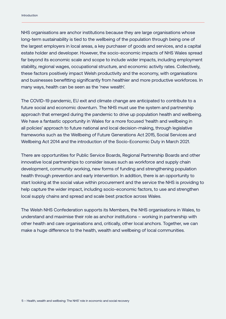NHS organisations are anchor institutions because they are large organisations whose long-term sustainability is tied to the wellbeing of the population through being one of the largest employers in local areas, a key purchaser of goods and services, and a capital estate holder and developer. However, the socio-economic impacts of NHS Wales spread far beyond its economic scale and scope to include wider impacts, including employment stability, regional wages, occupational structure, and economic activity rates. Collectively, these factors positively impact Welsh productivity and the economy, with organisations and businesses benefitting significantly from healthier and more productive workforces. In many ways, health can be seen as the 'new wealth'.

The COVID-19 pandemic, EU exit and climate change are anticipated to contribute to a future social and economic downturn. The NHS must use the system and partnership approach that emerged during the pandemic to drive up population health and wellbeing. We have a fantastic opportunity in Wales for a more focused 'health and wellbeing in all policies' approach to future national and local decision-making, through legislative frameworks such as the Wellbeing of Future Generations Act 2015, Social Services and Wellbeing Act 2014 and the introduction of the Socio-Economic Duty in March 2021.

There are opportunities for Public Service Boards, Regional Partnership Boards and other innovative local partnerships to consider issues such as workforce and supply chain development, community working, new forms of funding and strengthening population health through prevention and early intervention. In addition, there is an opportunity to start looking at the social value within procurement and the service the NHS is providing to help capture the wider impact, including socio-economic factors, to use and strengthen local supply chains and spread and scale best practice across Wales.

The Welsh NHS Confederation supports its Members, the NHS organisations in Wales, to understand and maximise their role as anchor institutions – working in partnership with other health and care organisations and, critically, other local anchors. Together, we can make a huge difference to the health, wealth and wellbeing of local communities.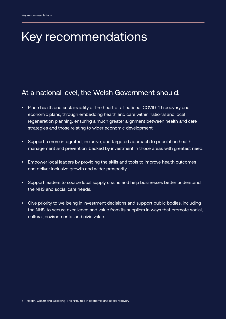# <span id="page-5-0"></span>Key recommendations

#### At a national level, the Welsh Government should:

- Place health and sustainability at the heart of all national COVID-19 recovery and economic plans, through embedding health and care within national and local regeneration planning, ensuring a much greater alignment between health and care strategies and those relating to wider economic development.
- Support a more integrated, inclusive, and targeted approach to population health management and prevention, backed by investment in those areas with greatest need.
- Empower local leaders by providing the skills and tools to improve health outcomes and deliver inclusive growth and wider prosperity.
- Support leaders to source local supply chains and help businesses better understand the NHS and social care needs.
- Give priority to wellbeing in investment decisions and support public bodies, including the NHS, to secure excellence and value from its suppliers in ways that promote social, cultural, environmental and civic value.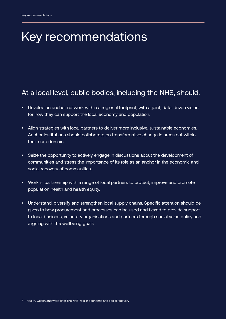# Key recommendations

#### At a local level, public bodies, including the NHS, should:

- Develop an anchor network within a regional footprint, with a joint, data-driven vision for how they can support the local economy and population.
- Align strategies with local partners to deliver more inclusive, sustainable economies. Anchor institutions should collaborate on transformative change in areas not within their core domain.
- Seize the opportunity to actively engage in discussions about the development of communities and stress the importance of its role as an anchor in the economic and social recovery of communities.
- Work in partnership with a range of local partners to protect, improve and promote population health and health equity.
- Understand, diversify and strengthen local supply chains. Specific attention should be given to how procurement and processes can be used and flexed to provide support to local business, voluntary organisations and partners through social value policy and aligning with the wellbeing goals.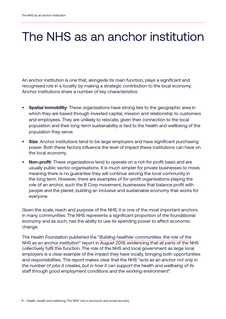# The NHS as an anchor institution

An anchor institution is one that, alongside its main function, plays a significant and recognised role in a locality by making a strategic contribution to the local economy. Anchor institutions share a number of key characteristics:

- **• Spatial immobility**: These organisations have strong ties to the geographic area in which they are based through invested capital, mission and relationship to customers and employees. They are unlikely to relocate, given their connection to the local population and their long-term sustainability is tied to the health and wellbeing of the population they serve.
- **• Size**: Anchor institutions tend to be large employers and have significant purchasing power. Both these factors influence the level of impact these institutions can have on the local economy.
- **• Non-profit**: These organisations tend to operate on a not-for profit basis and are usually public sector organisations. It is much simpler for private businesses to move, meaning there is no guarantee they will continue serving the local community in the long term. However, there are examples of for-profit organisations playing the role of an anchor, such the B Corp movement, businesses that balance profit with people and the planet, building an inclusive and sustainable economy that works for everyone.

Given the scale, reach and purpose of the NHS, it is one of the most important anchors in many communities. The NHS represents a significant proportion of the foundational economy and as such, has the ability to use its spending power to affect economic change.

The Health Foundation published the "*[Building healthier communities: the role of the](https://www.health.org.uk/publications/reports/building-healthier-communities-role-of-nhs-as-anchor-institution)  [NHS as an anchor institution](https://www.health.org.uk/publications/reports/building-healthier-communities-role-of-nhs-as-anchor-institution)*" report in August 2019, evidencing that all parts of the NHS collectively fulfil this function. The role of the NHS and local government as large local employers is a clear example of the impact they have locally, bringing both opportunities and responsibilities. The report makes clear that the NHS "*acts as an anchor not only in the number of jobs it creates, but in how it can support the health and wellbeing of its staff through good employment conditions and the working environment*".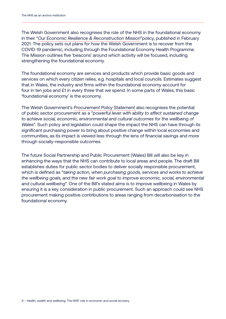The Welsh Government also recognises the role of the NHS in the foundational economy in their "*[Our Economic Resilience & Reconstruction Mission](https://gov.wales/economic-resilience-and-reconstruction-mission-html)*"policy, published in February 2021. The policy sets out plans for how the Welsh Government is to recover from the COVID-19 pandemic, including through the Foundational Economy Health Programme. The Mission outlines five 'beacons' around which activity will be focused, including strengthening the foundational economy.

The foundational economy are services and products which provide basic goods and services on which every citizen relies, e.g. hospitals and local councils. Estimates suggest that in Wales, the industry and firms within the foundational economy account for four in ten jobs and £1 in every three that we spend. In some parts of Wales, this basic 'foundational economy' is the economy.

The Welsh Government's *[Procurement Policy Statement](https://gov.wales/sites/default/files/publications/2021-03/wales-procurement-policy-statement-2021.pdf)* also recognises the potential of public sector procurement as a "*powerful lever with ability to affect sustained change to achieve social, economic, environmental and cultural outcomes for the wellbeing of Wales*". Such policy and legislation could shape the impact the NHS can have through its significant purchasing power to bring about positive change within local economies and communities, as its impact is viewed less through the lens of financial savings and more through socially-responsible outcomes.

The future Social Partnership and Public Procurement (Wales) Bill will also be key in enhancing the ways that the NHS can contribute to local areas and people. The draft Bill establishes duties for public sector bodies to deliver socially responsible procurement, which is defined as "*taking action, when purchasing goods, services and works to achieve the wellbeing goals, and the new fair work goal to improve economic, social, environmental and cultural wellbeing*". One of the Bill's stated aims is to improve wellbeing in Wales by ensuring it is a key consideration in public procurement. Such an approach could see NHS procurement making positive contributions to areas ranging from decarbonisation to the foundational economy.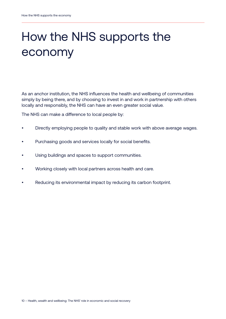# How the NHS supports the economy

As an anchor institution, the NHS influences the health and wellbeing of communities simply by being there, and by choosing to invest in and work in partnership with others locally and responsibly, the NHS can have an even greater social value.

The NHS can make a difference to local people by:

- Directly employing people to quality and stable work with above average wages.
- Purchasing goods and services locally for social benefits.
- Using buildings and spaces to support communities.
- Working closely with local partners across health and care.
- Reducing its environmental impact by reducing its carbon footprint.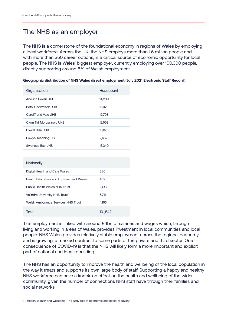#### The NHS as an employer

The NHS is a cornerstone of the foundational economy in regions of Wales by employing a local workforce. Across the UK, the NHS employs more than 1.6 million people and with more than 350 career options, is a critical source of economic opportunity for local people. The NHS is Wales' biggest employer, currently employing over 100,000 people, directly supporting around 6% of Welsh employment.

| Organisation               | Headcount |
|----------------------------|-----------|
| Aneurin Bevan UHB          | 14,299    |
| <b>Betsi Cadwaladr UHB</b> | 18,972    |
| Cardiff and Vale UHB       | 15,793    |
| Cwm Taf Morgannwg UHB      | 12.653    |
| Hywel Dda UHB              | 10,873    |
| Powys Teaching HB          | 2,467     |
| Swansea Bay UHB            | 13.349    |
|                            |           |

|  | Geographic distribution of NHS Wales direct employment (July 2021 Electronic Staff Record) |
|--|--------------------------------------------------------------------------------------------|
|  |                                                                                            |

| Nationally                             |         |
|----------------------------------------|---------|
| Digital Health and Care Wales          | 880     |
| Health Education and Improvement Wales | 489     |
| <b>Public Health Wales NHS Trust</b>   | 2.193   |
| <b>Velindre University NHS Trust</b>   | 5.711   |
| Welsh Ambulance Services NHS Trust     | 4,163   |
| Total                                  | 101,842 |

This employment is linked with around £4bn of salaries and wages which, through living and working in areas of Wales, provides investment in local communities and local people. NHS Wales provides relatively stable employment across the regional economy and is growing, a marked contrast to some parts of the private and third sector. One consequence of COVID-19 is that the NHS will likely form a more important and explicit part of national and local rebuilding.

The NHS has an opportunity to improve the health and wellbeing of the local population in the way it treats and supports its own large body of staff. Supporting a happy and healthy NHS workforce can have a knock-on effect on the health and wellbeing of the wider community, given the number of connections NHS staff have through their families and social networks.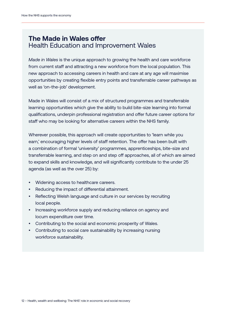#### **The Made in Wales offer** Health Education and Improvement Wales

*Made in Wales* is the unique approach to growing the health and care workforce from current staff and attracting a new workforce from the local population. This new approach to accessing careers in health and care at any age will maximise opportunities by creating flexible entry points and transferrable career pathways as well as 'on-the-job' development.

Made in Wales will consist of a mix of structured programmes and transferrable learning opportunities which give the ability to build bite-size learning into formal qualifications, underpin professional registration and offer future career options for staff who may be looking for alternative careers within the NHS family.

Wherever possible, this approach will create opportunities to 'learn while you earn,' encouraging higher levels of staff retention. The offer has been built with a combination of formal 'university' programmes, apprenticeships, bite-size and transferrable learning, and step on and step off approaches, all of which are aimed to expand skills and knowledge, and will significantly contribute to the under 25 agenda (as well as the over 25) by:

- Widening access to healthcare careers.
- Reducing the impact of differential attainment.
- Reflecting Welsh language and culture in our services by recruiting local people.
- Increasing workforce supply and reducing reliance on agency and locum expenditure over time.
- Contributing to the social and economic prosperity of Wales.
- Contributing to social care sustainability by increasing nursing workforce sustainability.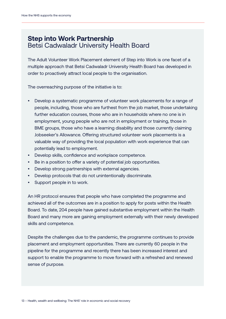#### **Step into Work Partnership** Betsi Cadwaladr University Health Board

The Adult Volunteer Work Placement element of Step into Work is one facet of a multiple approach that Betsi Cadwaladr University Health Board has developed in order to proactively attract local people to the organisation.

The overreaching purpose of the initiative is to:

- Develop a systematic programme of volunteer work placements for a range of people, including, those who are furthest from the job market, those undertaking further education courses, those who are in households where no one is in employment, young people who are not in employment or training, those in BME groups, those who have a learning disability and those currently claiming Jobseeker's Allowance. Offering structured volunteer work placements is a valuable way of providing the local population with work experience that can potentially lead to employment.
- Develop skills, confidence and workplace competence.
- Be in a position to offer a variety of potential job opportunities.
- Develop strong partnerships with external agencies.
- Develop protocols that do not unintentionally discriminate.
- Support people in to work.

An HR protocol ensures that people who have completed the programme and achieved all of the outcomes are in a position to apply for posts within the Health Board. To date, 204 people have gained substantive employment within the Health Board and many more are gaining employment externally with their newly developed skills and competence.

Despite the challenges due to the pandemic, the programme continues to provide placement and employment opportunities. There are currently 60 people in the pipeline for the programme and recently there has been increased interest and support to enable the programme to move forward with a refreshed and renewed sense of purpose.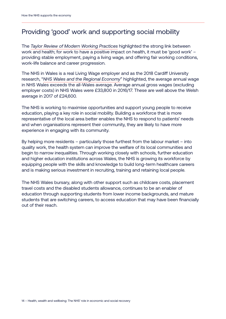#### Providing 'good' work and supporting social mobility

The *[Taylor Review of Modern Working Practices](https://assets.publishing.service.gov.uk/government/uploads/system/uploads/attachment_data/file/627671/good-work-taylor-review-modern-working-practices-rg.pdf)* highlighted the strong link between work and health; for work to have a positive impact on health, it must be 'good work' – providing stable employment, paying a living wage, and offering fair working conditions, work-life balance and career progression.

The NHS in Wales is a real Living Wage employer and as the 2018 Cardiff University research, "*[NHS Wales and the Regional Economy](https://www.cardiff.ac.uk/__data/assets/pdf_file/0009/1394712/NHS-Report_December-13th-2018-_WERU.pdf)*" highlighted, the average annual wage in NHS Wales exceeds the all-Wales average. Average annual gross wages (excluding employer costs) in NHS Wales were £33,800 in 2016/17. These are well above the Welsh average in 2017 of £24,600.

The NHS is working to maximise opportunities and support young people to receive education, playing a key role in social mobility. Building a workforce that is more representative of the local area better enables the NHS to respond to patients' needs and when organisations represent their community, they are likely to have more experience in engaging with its community.

By helping more residents – particularly those furthest from the labour market – into quality work, the health system can improve the welfare of its local communities and begin to narrow inequalities. Through working closely with schools, further education and higher education institutions across Wales, the NHS is growing its workforce by equipping people with the skills and knowledge to build long-term healthcare careers and is making serious investment in recruiting, training and retaining local people.

The NHS Wales bursary, along with other support such as childcare costs, placement travel costs and the disabled students allowance, continues to be an enabler of education through supporting students from lower income backgrounds, and mature students that are switching careers, to access education that may have been financially out of their reach.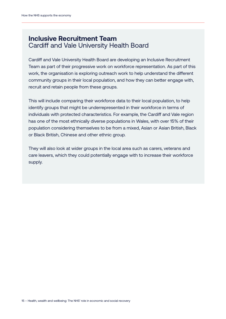#### **Inclusive Recruitment Team** Cardiff and Vale University Health Board

Cardiff and Vale University Health Board are developing an Inclusive Recruitment Team as part of their progressive work on workforce representation. As part of this work, the organisation is exploring outreach work to help understand the different community groups in their local population, and how they can better engage with, recruit and retain people from these groups.

This will include comparing their workforce data to their local population, to help identify groups that might be underrepresented in their workforce in terms of individuals with protected characteristics. For example, the Cardiff and Vale region has one of the most ethnically diverse populations in Wales, with over 15% of their population considering themselves to be from a mixed, Asian or Asian British, Black or Black British, Chinese and other ethnic group.

They will also look at wider groups in the local area such as carers, veterans and care leavers, which they could potentially engage with to increase their workforce supply.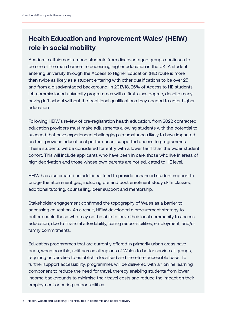#### **Health Education and Improvement Wales' (HEIW) role in social mobility**

Academic attainment among students from disadvantaged groups continues to be one of the main barriers to accessing higher education in the UK. A student entering university through the Access to Higher Education (HE) route is more than twice as likely as a student entering with other qualifications to be over 25 and from a disadvantaged background. In 2017/18, 26% of Access to HE students left commissioned university programmes with a first-class degree, despite many having left school without the traditional qualifications they needed to enter higher education.

Following HEIW's review of pre-registration health education, from 2022 contracted education providers must make adjustments allowing students with the potential to succeed that have experienced challenging circumstances likely to have impacted on their previous educational performance, supported access to programmes. These students will be considered for entry with a lower tariff than the wider student cohort. This will include applicants who have been in care, those who live in areas of high deprivation and those whose own parents are not educated to HE level.

HEIW has also created an additional fund to provide enhanced student support to bridge the attainment gap, including pre and post enrolment study skills classes; additional tutoring; counselling; peer support and mentorship.

Stakeholder engagement confirmed the topography of Wales as a barrier to accessing education. As a result, HEIW developed a procurement strategy to better enable those who may not be able to leave their local community to access education, due to financial affordability, caring responsibilities, employment, and/or family commitments.

Education programmes that are currently offered in primarily urban areas have been, when possible, split across all regions of Wales to better service all groups, requiring universities to establish a localised and therefore accessible base. To further support accessibility, programmes will be delivered with an online learning component to reduce the need for travel, thereby enabling students from lower income backgrounds to minimise their travel costs and reduce the impact on their employment or caring responsibilities.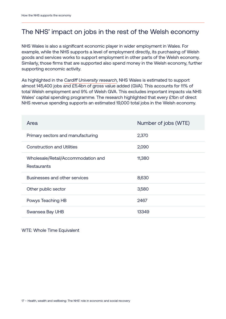#### The NHS' impact on jobs in the rest of the Welsh economy

NHS Wales is also a significant economic player in wider employment in Wales. For example, while the NHS supports a level of employment directly, its purchasing of Welsh goods and services works to support employment in other parts of the Welsh economy. Similarly, those firms that are supported also spend money in the Welsh economy, further supporting economic activity.

As highlighted in the *[Cardiff University research](https://www.cardiff.ac.uk/__data/assets/pdf_file/0009/1394712/NHS-Report_December-13th-2018-_WERU.pdf)*, NHS Wales is estimated to support almost 145,400 jobs and £5.4bn of gross value added (GVA). This accounts for 11% of total Welsh employment and 9% of Welsh GVA. This excludes important impacts via NHS Wales' capital spending programme. The research highlighted that every £1bn of direct NHS revenue spending supports an estimated 19,000 total jobs in the Welsh economy.

| Area                                                     | Number of jobs (WTE) |
|----------------------------------------------------------|----------------------|
| Primary sectors and manufacturing                        | 2,370                |
| <b>Construction and Utilities</b>                        | 2,090                |
| Wholesale/Retail/Accommodation and<br><b>Restaurants</b> | 11,380               |
| Businesses and other services                            | 8,630                |
| Other public sector                                      | 3,580                |
| Powys Teaching HB                                        | 2467                 |
| Swansea Bay UHB                                          | 13349                |

WTE: Whole Time Equivalent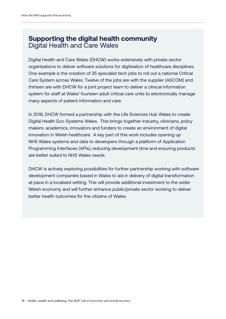#### **Supporting the digital health community** Digital Health and Care Wales

Digital Health and Care Wales (DHCW) works extensively with private sector organisations to deliver software solutions for digitisation of healthcare disciplines. One example is the creation of 25 specialist tech jobs to roll out a national Critical Care System across Wales. Twelve of the jobs are with the supplier (ASCOM) and thirteen are with DHCW for a joint project team to deliver a clinical information system for staff at Wales' fourteen adult critical care units to electronically manage many aspects of patient information and care.

In 2018, DHCW formed a partnership with the Life Sciences Hub Wales to create Digital Health Eco-Systems Wales. This brings together industry, clinicians, policy makers, academics, innovators and funders to create an environment of digital innovation in Welsh healthcare. A key part of this work includes opening up NHS Wales systems and data to developers through a platform of Application Programming Interfaces (APIs), reducing development time and ensuring products are better suited to NHS Wales needs.

DHCW is actively exploring possibilities for further partnership working with software development companies based in Wales to aid in delivery of digital transformation at pace in a localised setting. This will provide additional investment to the wider Welsh economy and will further enhance public/private sector working to deliver better health outcomes for the citizens of Wales.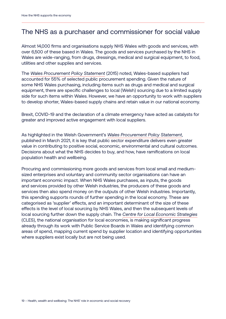#### The NHS as a purchaser and commissioner for social value

Almost 14,000 firms and organisations supply NHS Wales with goods and services, with over 6,500 of these based in Wales. The goods and services purchased by the NHS in Wales are wide-ranging, from drugs, dressings, medical and surgical equipment, to food, utilities and other supplies and services.

The *[Wales Procurement Policy Statement](https://gov.wales/wales-procurement-policy-statement)* (2015) noted, Wales-based suppliers had accounted for 55% of selected public procurement spending. Given the nature of some NHS Wales purchasing, including items such as drugs and medical and surgical equipment, there are specific challenges to local (Welsh) sourcing due to a limited supply side for such items within Wales. However, we have an opportunity to work with suppliers to develop shorter, Wales-based supply chains and retain value in our national economy.

Brexit, COVID-19 and the declaration of a climate emergency have acted as catalysts for greater and improved active engagement with local suppliers.

As highlighted in the Welsh Government's *[Wales Procurement Policy Statement](https://gov.wales/sites/default/files/publications/2021-03/wales-procurement-policy-statement-2021.pdf)*, published in March 2021, it is key that public sector expenditure delivers even greater value in contributing to positive social, economic, environmental and cultural outcomes. Decisions about what the NHS decides to buy, and how, have ramifications on local population health and wellbeing.

Procuring and commissioning more goods and services from local small and mediumsized enterprises and voluntary and community sector organisations can have an important economic impact. When NHS Wales purchases, as inputs, the goods and services provided by other Welsh industries, the producers of these goods and services then also spend money on the outputs of other Welsh industries. Importantly, this spending supports rounds of further spending in the local economy. These are categorised as 'supplier' effects, and an important determinant of the size of these effects is the level of local sourcing by NHS Wales, and then the subsequent levels of local sourcing further down the supply chain. The *[Centre for Local Economic Strategies](https://cles.org.uk/)* (CLES), the national organisation for local economies, is making significant progress already through its work with Public Service Boards in Wales and identifying common areas of spend, mapping current spend by supplier location and identifying opportunities where suppliers exist locally but are not being used.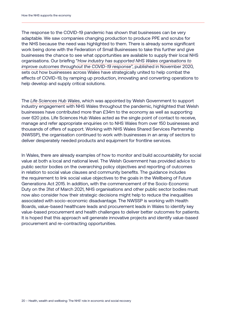The response to the COVID-19 pandemic has shown that businesses can be very adaptable. We saw companies changing production to produce PPE and scrubs for the NHS because the need was highlighted to them. There is already some significant work being done with the Federation of Small Businesses to take this further and give businesses the chance to see what opportunities are available to supply their local NHS organisations. Our briefing "*[How industry has supported NHS Wales organisations to](https://www.nhsconfed.org/sites/default/files/media/How-industry-has-supported-NHS-Wales-COVID19.pdf)  [improve outcomes throughout the COVID-19 response](https://www.nhsconfed.org/sites/default/files/media/How-industry-has-supported-NHS-Wales-COVID19.pdf)*", published in November 2020, sets out how businesses across Wales have strategically united to help combat the effects of COVID-19, by ramping up production, innovating and converting operations to help develop and supply critical solutions.

The *[Life Sciences Hub Wales](https://lshubwales.com/news/coordinated-industry-response-covid-19-provides-major-boost-welsh-economy)*, which was appointed by Welsh Government to support industry engagement with NHS Wales throughout the pandemic, highlighted that Welsh businesses have contributed more than £34m to the economy as well as supporting over 620 jobs. Life Sciences Hub Wales acted as the single point of contact to receive, manage and refer appropriate enquiries on to NHS Wales from over 150 businesses and thousands of offers of support. Working with NHS Wales Shared Services Partnership (NWSSP), the organisation continued to work with businesses in an array of sectors to deliver desperately needed products and equipment for frontline services.

In Wales, there are already examples of how to monitor and build accountability for social value at both a local and national level. The Welsh Government has provided advice to public sector bodies on the overarching policy objectives and reporting of outcomes in relation to social value clauses and community benefits. The guidance includes the requirement to link social value objectives to the goals in the Wellbeing of Future Generations Act 2015. In addition, with the commencement of the Socio-Economic Duty on the 31st of March 2021, NHS organisations and other public sector bodies must now also consider how their strategic decisions might help to reduce the inequalities associated with socio-economic disadvantage. The NWSSP is working with Health Boards, value-based healthcare leads and procurement leads in Wales to identify key value-based procurement and health challenges to deliver better outcomes for patients. It is hoped that this approach will generate innovative projects and identify value-based procurement and re-contracting opportunities.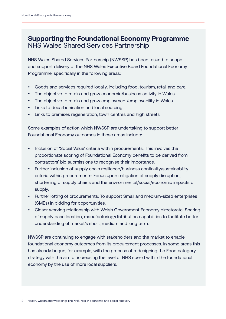#### **Supporting the Foundational Economy Programme** NHS Wales Shared Services Partnership

NHS Wales Shared Services Partnership (NWSSP) has been tasked to scope and support delivery of the NHS Wales Executive Board Foundational Economy Programme, specifically in the following areas:

- Goods and services required locally, including food, tourism, retail and care.
- The objective to retain and grow economic/business activity in Wales.
- The objective to retain and grow employment/employability in Wales.
- Links to decarbonisation and local sourcing.
- Links to premises regeneration, town centres and high streets.

Some examples of action which NWSSP are undertaking to support better Foundational Economy outcomes in these areas include:

- Inclusion of 'Social Value' criteria within procurements: This involves the proportionate scoring of Foundational Economy benefits to be derived from contractors' bid submissions to recognise their importance.
- Further inclusion of supply chain resilience/business continuity/sustainability criteria within procurements: Focus upon mitigation of supply disruption, shortening of supply chains and the environmental/social/economic impacts of supply.
- Further lotting of procurements: To support Small and medium-sized enterprises (SMEs) in bidding for opportunities.
- Closer working relationship with Welsh Government Economy directorate: Sharing of supply base location, manufacturing/distribution capabilities to facilitate better understanding of market's short, medium and long term.

NWSSP are continuing to engage with stakeholders and the market to enable foundational economy outcomes from its procurement processes. In some areas this has already begun, for example, with the process of redesigning the Food category strategy with the aim of increasing the level of NHS spend within the foundational economy by the use of more local suppliers.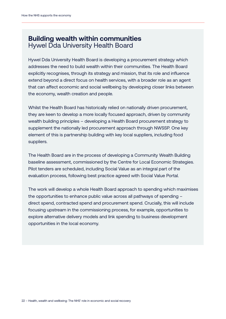#### **Building wealth within communities** Hywel Dda University Health Board

Hywel Dda University Health Board is developing a procurement strategy which addresses the need to build wealth within their communities. The Health Board explicitly recognises, through its strategy and mission, that its role and influence extend beyond a direct focus on health services, with a broader role as an agent that can affect economic and social wellbeing by developing closer links between the economy, wealth creation and people.

Whilst the Health Board has historically relied on nationally driven procurement, they are keen to develop a more locally focused approach, driven by community wealth building principles – developing a Health Board procurement strategy to supplement the nationally led procurement approach through NWSSP. One key element of this is partnership building with key local suppliers, including food suppliers.

The Health Board are in the process of developing a Community Wealth Building baseline assessment, commissioned by the Centre for Local Economic Strategies. Pilot tenders are scheduled, including Social Value as an integral part of the evaluation process, following best practice agreed with Social Value Portal.

The work will develop a whole Health Board approach to spending which maximises the opportunities to enhance public value across all pathways of spending – direct spend, contracted spend and procurement spend. Crucially, this will include focusing upstream in the commissioning process, for example, opportunities to explore alternative delivery models and link spending to business development opportunities in the local economy.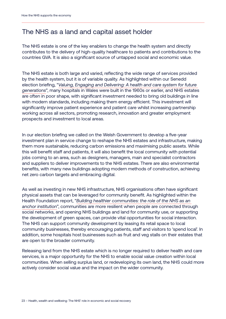#### The NHS as a land and capital asset holder

The NHS estate is one of the key enablers to change the health system and directly contributes to the delivery of high-quality healthcare to patients and contributions to the countries GVA. It is also a significant source of untapped social and economic value.

The NHS estate is both large and varied, reflecting the wide range of services provided by the health system, but it is of variable quality. As highlighted within our Senedd election briefing, "*[Valuing, Engaging and Delivering: A health and care system for future](https://www.nhsconfed.org/sites/default/files/media/The%20Welsh%20NHS%20Confederation%20%20Flyer%202020%20Digital%20F1_2.pdf)  [generations](https://www.nhsconfed.org/sites/default/files/media/The%20Welsh%20NHS%20Confederation%20%20Flyer%202020%20Digital%20F1_2.pdf)*", many hospitals in Wales were built in the 1960s or earlier, and NHS estates are often in poor shape, with significant investment needed to bring old buildings in line with modern standards, including making them energy efficient. This investment will significantly improve patient experience and patient care whilst increasing partnership working across all sectors, promoting research, innovation and greater employment prospects and investment to local areas.

In our election briefing we called on the Welsh Government to develop a five-year investment plan in service change to reshape the NHS estates and infrastructure, making them more sustainable, reducing carbon emissions and maximising public assets. While this will benefit staff and patients, it will also benefit the local community with potential jobs coming to an area, such as designers, managers, main and specialist contractors and suppliers to deliver improvements to the NHS estates. There are also environmental benefits, with many new buildings adopting modern methods of construction, achieving net zero carbon targets and embracing digital.

As well as investing in new NHS infrastructure, NHS organisations often have significant physical assets that can be leveraged for community benefit. As highlighted within the Health Foundation report, "*[Building healthier communities: the role of the NHS as an](https://www.health.org.uk/publications/reports/building-healthier-communities-role-of-nhs-as-anchor-institution)  [anchor institution](https://www.health.org.uk/publications/reports/building-healthier-communities-role-of-nhs-as-anchor-institution)*", communities are more resilient when people are connected through social networks, and opening NHS buildings and land for community use, or supporting the development of green spaces, can provide vital opportunities for social interaction. The NHS can support community development by leasing its retail space to local community businesses, thereby encouraging patients, staff and visitors to 'spend local'. In addition, some hospitals host businesses such as fruit and veg stalls on their estates that are open to the broader community.

Releasing land from the NHS estate which is no longer required to deliver health and care services, is a major opportunity for the NHS to enable social value creation within local communities. When selling surplus land, or redeveloping its own land, the NHS could more actively consider social value and the impact on the wider community.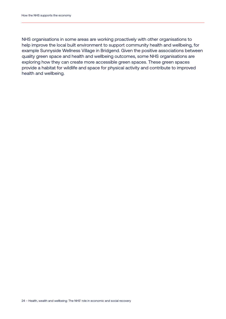NHS organisations in some areas are working proactively with other organisations to help improve the local built environment to support community health and wellbeing, for example Sunnyside Wellness Village in Bridgend. Given the positive associations between quality green space and health and wellbeing outcomes, some NHS organisations are exploring how they can create more accessible green spaces. These green spaces provide a habitat for wildlife and space for physical activity and contribute to improved health and wellbeing.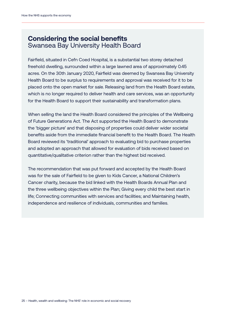#### **Considering the social benefits** Swansea Bay University Health Board

Fairfield, situated in Cefn Coed Hospital, is a substantial two storey detached freehold dwelling, surrounded within a large lawned area of approximately 0.45 acres. On the 30th January 2020, Fairfield was deemed by Swansea Bay University Health Board to be surplus to requirements and approval was received for it to be placed onto the open market for sale. Releasing land from the Health Board estate, which is no longer required to deliver health and care services, was an opportunity for the Health Board to support their sustainability and transformation plans.

When selling the land the Health Board considered the principles of the Wellbeing of Future Generations Act. The Act supported the Health Board to demonstrate the 'bigger picture' and that disposing of properties could deliver wider societal benefits aside from the immediate financial benefit to the Health Board. The Health Board reviewed its 'traditional' approach to evaluating bid to purchase properties and adopted an approach that allowed for evaluation of bids received based on quantitative/qualitative criterion rather than the highest bid received.

The recommendation that was put forward and accepted by the Health Board was for the sale of Fairfield to be given to Kids Cancer, a National Children's Cancer charity, because the bid linked with the Health Boards Annual Plan and the three wellbeing objectives within the Plan; Giving every child the best start in life; Connecting communities with services and facilities; and Maintaining health, independence and resilience of individuals, communities and families.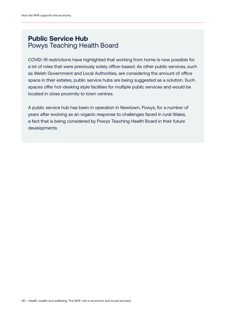#### **Public Service Hub** Powys Teaching Health Board

COVID-19 restrictions have highlighted that working from home is now possible for a lot of roles that were previously solely office-based. As other public services, such as Welsh Government and Local Authorities, are considering the amount of office space in their estates, public service hubs are being suggested as a solution. Such spaces offer hot-desking style facilities for multiple public services and would be located in close proximity to town centres.

A public service hub has been in operation in Newtown, Powys, for a number of years after evolving as an organic response to challenges faced in rural Wales, a fact that is being considered by Powys Teaching Health Board in their future developments.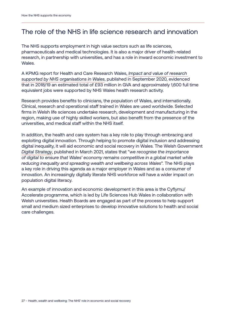#### The role of the NHS in life science research and innovation

The NHS supports employment in high value sectors such as life sciences, pharmaceuticals and medical technologies. It is also a major driver of health-related research, in partnership with universities, and has a role in inward economic investment to Wales.

A KPMG report for Health and Care Research Wales, *[Impact and value of research](https://healthandcareresearchwales.org/sites/default/files/2020-10/impact_value_research_supported_NHS_organisations_Wales_2020.pdf)  [supported by NHS organisations in Wales](https://healthandcareresearchwales.org/sites/default/files/2020-10/impact_value_research_supported_NHS_organisations_Wales_2020.pdf)*, published in September 2020, evidenced that in 2018/19 an estimated total of £93 million in GVA and approximately 1,600 full time equivalent jobs were supported by NHS Wales health research activity.

Research provides benefits to clinicians, the population of Wales, and internationally. Clinical, research and operational staff trained in Wales are used worldwide. Selected firms in Welsh life sciences undertake research, development and manufacturing in the region, making use of highly skilled workers, but also benefit from the presence of the universities, and medical staff within the NHS itself.

In addition, the health and care system has a key role to play through embracing and exploiting digital innovation. Through helping to promote digital inclusion and addressing digital inequality, it will aid economic and social recovery in Wales. The Welsh Government *[Digital Strategy](https://gov.wales/digital-strategy-wales-html)*, published in March 2021, states that "*we recognise the importance of digital to ensure that Wales' economy remains competitive in a global market while reducing inequality and spreading wealth and wellbeing across Wales*". The NHS plays a key role in driving this agenda as a major employer in Wales and as a consumer of innovation. An increasingly digitally literate NHS workforce will have a wider impact on population digital literacy.

An example of innovation and economic development in this area is the Cyflymu/ Accelerate programme, which is led by Life Sciences Hub Wales in collaboration with Welsh universities. Health Boards are engaged as part of the process to help support small and medium sized enterprises to develop innovative solutions to health and social care challenges.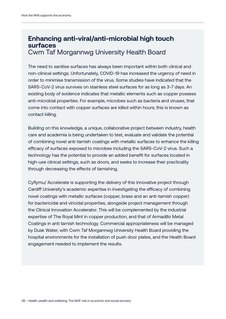#### **Enhancing anti-viral/anti-microbial high touch surfaces** Cwm Taf Morgannwg University Health Board

The need to sanitise surfaces has always been important within both clinical and non-clinical settings. Unfortunately, COVID-19 has increased the urgency of need in order to minimise transmission of the virus. Some studies have indicated that the SARS-CoV-2 virus survives on stainless steel surfaces for as long as 3-7 days. An existing body of evidence indicates that metallic elements such as copper possess anti-microbial properties. For example, microbes such as bacteria and viruses, that come into contact with copper surfaces are killed within hours; this is known as contact killing.

Building on this knowledge, a unique, collaborative project between industry, health care and academia is being undertaken to test, evaluate and validate the potential of combining novel anti-tarnish coatings with metallic surfaces to enhance the killing efficacy of surfaces exposed to microbes including the SARS-CoV-2 virus. Such a technology has the potential to provide an added benefit for surfaces located in high-use clinical settings, such as doors, and seeks to increase their practicality through decreasing the effects of tarnishing.

Cyflymu/ Accelerate is supporting the delivery of this innovative project through Cardiff University's academic expertise in investigating the efficacy of combining novel coatings with metallic surfaces (copper, brass and an anti-tarnish copper) for bactericidal and viricidal properties, alongside project management through the Clinical Innovation Accelerator. This will be complemented by the industrial expertise of The Royal Mint in copper production, and that of Armadillo Metal Coatings in anti tarnish technology. Commercial appropriateness will be managed by Dusk Water, with Cwm Taf Morgannwg University Health Board providing the hospital environments for the installation of push door plates, and the Health Board engagement needed to implement the results.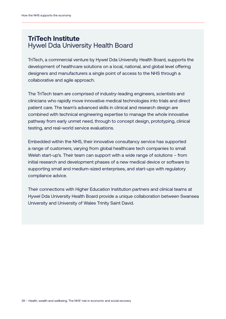#### **TriTech Institute** Hywel Dda University Health Board

TriTech, a commercial venture by Hywel Dda University Health Board, supports the development of healthcare solutions on a local, national, and global level offering designers and manufacturers a single point of access to the NHS through a collaborative and agile approach.

The TriTech team are comprised of industry-leading engineers, scientists and clinicians who rapidly move innovative medical technologies into trials and direct patient care. The team's advanced skills in clinical and research design are combined with technical engineering expertise to manage the whole innovative pathway from early unmet need, through to concept design, prototyping, clinical testing, and real-world service evaluations.

Embedded within the NHS, their innovative consultancy service has supported a range of customers, varying from global healthcare tech companies to small Welsh start-up's. Their team can support with a wide range of solutions – from initial research and development phases of a new medical device or software to supporting small and medium-sized enterprises, and start-ups with regulatory compliance advice.

Their connections with Higher Education Institution partners and clinical teams at Hywel Dda University Health Board provide a unique collaboration between Swansea University and University of Wales Trinity Saint David.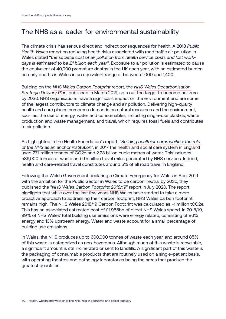#### The NHS as a leader for environmental sustainability

The climate crisis has serious direct and indirect consequences for health. A 2018 *[Public](http://www.wales.nhs.uk/sitesplus/documents/888/PHW%20Air%20pollution%20report%20%28final%20English%29.pdf)  [Health Wales report](http://www.wales.nhs.uk/sitesplus/documents/888/PHW%20Air%20pollution%20report%20%28final%20English%29.pdf)* on reducing health risks associated with road traffic air pollution in Wales stated "*the societal cost of air pollution from health service costs and lost workdays is estimated to be £1 billion each year*". Exposure to air pollution is estimated to cause the equivalent of 40,000 premature deaths in the UK each year, with an estimated burden on early deaths in Wales in an equivalent range of between 1,000 and 1,400.

Building on the *[NHS Wales Carbon Footprint](https://gov.wales/sites/default/files/publications/2020-09/nhswales-carbon-footprint-2018-19.pdf)* report, the *[NHS Wales Decarbonisation](https://gov.wales/sites/default/files/publications/2021-03/nhs-wales-decarbonisation-strategic-delivery-plan.pdf)  [Strategic Delivery Plan](https://gov.wales/sites/default/files/publications/2021-03/nhs-wales-decarbonisation-strategic-delivery-plan.pdf)*, published in March 2021, sets out the target to become net zero by 2030. NHS organisations have a significant impact on the environment and are some of the largest contributors to climate change and air pollution. Delivering high-quality health and care places numerous demands on natural resources and the environment, such as: the use of energy, water and consumables, including single-use plastics; waste production and waste management; and travel, which requires fossil fuels and contributes to air pollution.

As highlighted in the Health Foundation's report, "*[Building healthier communities: the role](https://www.health.org.uk/publications/reports/building-healthier-communities-role-of-nhs-as-anchor-institution)  [of the NHS as an anchor institution](https://www.health.org.uk/publications/reports/building-healthier-communities-role-of-nhs-as-anchor-institution)*", in 2017 the health and social care system in England used 27.1 million tonnes of CO2e and 2.23 billion cubic metres of water. This includes 589,000 tonnes of waste and 9.5 billion travel miles generated by NHS services. Indeed, health and care-related travel constitutes around 5% of all road travel in England.

Following the Welsh Government declaring a Climate Emergency for Wales in April 2019 with the ambition for the Public Sector in Wales to be carbon neutral by 2030, they published the "*[NHS Wales Carbon Footprint 2018/19](https://gov.wales/sites/default/files/publications/2020-09/nhswales-carbon-footprint-2018-19.pdf)*" report in July 2020. The report highlights that while over the last few years NHS Wales have started to take a more proactive approach to addressing their carbon footprint, NHS Wales carbon footprint remains high. The NHS Wales 2018/19 Carbon Footprint was calculated as ~1 million tCO2e. This has an associated estimated cost of £1.965bn of direct NHS Wales spend. In 2018/19, 99% of NHS Wales' total building use emissions were energy related, consisting of 86% energy and 13% upstream energy. Water and waste account for a small percentage of building use emissions.

In Wales, the NHS produces up to 600,000 tonnes of waste each year, and around 85% of this waste is categorized as non-hazardous. Although much of this waste is recyclable, a significant amount is still incinerated or sent to landfills. A significant part of this waste is the packaging of consumable products that are routinely used on a single-patient basis, with operating theatres and pathology laboratories being the areas that produce the greatest quantities.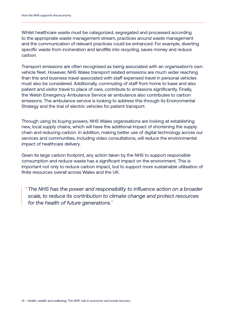Whilst healthcare waste must be categorized, segregated and processed according to the appropriate waste management stream, practices around waste management and the communication of relevant practices could be enhanced. For example, diverting specific waste from incineration and landfills into recycling, saves money and reduce carbon.

Transport emissions are often recognised as being associated with an organisation's own vehicle fleet. However, NHS Wales transport related emissions are much wider reaching than this and business travel associated with staff expensed travel in personal vehicles must also be considered. Additionally, commuting of staff from home to base and also patient and visitor travel to place of care, contribute to emissions significantly. Finally, the Welsh Emergency Ambulance Service air ambulance also contributes to carbon emissions. The ambulance service is looking to address this through its Environmental Strategy and the trial of electric vehicles for patient transport.

Through using its buying powers, NHS Wales organisations are looking at establishing new, local supply chains, which will have the additional impact of shortening the supply chain and reducing carbon. In addition, making better use of digital technology across our services and communities, including video consultations, will reduce the environmental impact of healthcare delivery.

Given its large carbon footprint, any action taken by the NHS to support responsible consumption and reduce waste has a significant impact on the environment. This is important not only to reduce carbon impact, but to support more sustainable utilisation of finite resources overall across Wales and the UK.

"*The NHS has the power and responsibility to influence action on a broader scale, to reduce its contribution to climate change and protect resources for the health of future generations.*"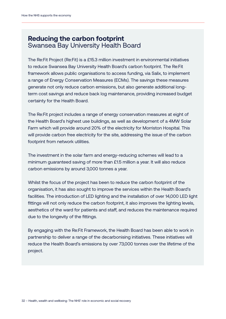#### **Reducing the carbon footprint** Swansea Bay University Health Board

The Re:Fit Project (Re:Fit) is a £15.3 million investment in environmental initiatives to reduce Swansea Bay University Health Board's carbon footprint. The Re:Fit framework allows public organisations to access funding, via Salix, to implement a range of Energy Conservation Measures (ECMs). The savings these measures generate not only reduce carbon emissions, but also generate additional longterm cost savings and reduce back log maintenance, providing increased budget certainty for the Health Board.

The Re:Fit project includes a range of energy conservation measures at eight of the Health Board's highest use buildings, as well as development of a 4MW Solar Farm which will provide around 20% of the electricity for Morriston Hospital. This will provide carbon free electricity for the site, addressing the issue of the carbon footprint from network utilities.

The investment in the solar farm and energy-reducing schemes will lead to a minimum guaranteed saving of more than £1.5 million a year. It will also reduce carbon emissions by around 3,000 tonnes a year.

Whilst the focus of the project has been to reduce the carbon footprint of the organisation, it has also sought to improve the services within the Health Board's facilities. The introduction of LED lighting and the installation of over 14,000 LED light fittings will not only reduce the carbon footprint, it also improves the lighting levels, aesthetics of the ward for patients and staff, and reduces the maintenance required due to the longevity of the fittings.

By engaging with the Re:Fit Framework, the Health Board has been able to work in partnership to deliver a range of the decarbonising initiatives. These initiatives will reduce the Health Board's emissions by over 73,000 tonnes over the lifetime of the project.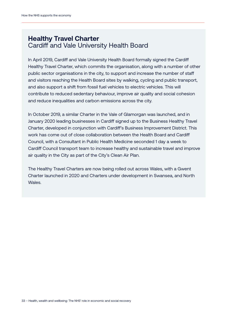#### **Healthy Travel Charter** Cardiff and Vale University Health Board

In April 2019, Cardiff and Vale University Health Board formally signed the Cardiff Healthy Travel Charter, which commits the organisation, along with a number of other public sector organisations in the city, to support and increase the number of staff and visitors reaching the Health Board sites by walking, cycling and public transport, and also support a shift from fossil fuel vehicles to electric vehicles. This will contribute to reduced sedentary behaviour, improve air quality and social cohesion and reduce inequalities and carbon emissions across the city.

In October 2019, a similar Charter in the Vale of Glamorgan was launched, and in January 2020 leading businesses in Cardiff signed up to the Business Healthy Travel Charter, developed in conjunction with Cardiff's Business Improvement District. This work has come out of close collaboration between the Health Board and Cardiff Council, with a Consultant in Public Health Medicine seconded 1 day a week to Cardiff Council transport team to increase healthy and sustainable travel and improve air quality in the City as part of the City's Clean Air Plan.

The Healthy Travel Charters are now being rolled out across Wales, with a Gwent Charter launched in 2020 and Charters under development in Swansea, and North Wales.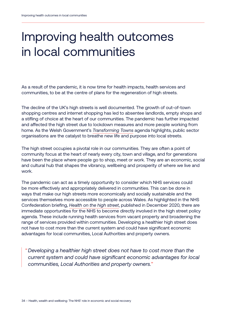# Improving health outcomes in local communities

As a result of the pandemic, it is now time for health impacts, health services and communities, to be at the centre of plans for the regeneration of high streets.

The decline of the UK's high streets is well documented. The growth of out-of-town shopping centres and internet shopping has led to absentee landlords, empty shops and a stifling of choice at the heart of our communities. The pandemic has further impacted and affected the high street due to lockdown measures and more people working from home. As the Welsh Government's *[Transforming Towns](https://gov.wales/support-improve-town-centres)* agenda highlights, public sector organisations are the catalyst to breathe new life and purpose into local streets.

The high street occupies a pivotal role in our communities. They are often a point of community focus at the heart of nearly every city, town and village, and for generations have been the place where people go to shop, meet or work. They are an economic, social and cultural hub that shapes the vibrancy, wellbeing and prosperity of where we live and work.

The pandemic can act as a timely opportunity to consider which NHS services could be more effectively and appropriately delivered in communities. This can be done in ways that make our high streets more economically and socially sustainable and the services themselves more accessible to people across Wales. As highlighted in the NHS Confederation briefing, *[Health on the high street](https://www.nhsconfed.org/sites/default/files/media/Health%20on%20the%20High%20Street.pdf)*, published in December 2020, there are immediate opportunities for the NHS to become directly involved in the high street policy agenda. These include running health services from vacant property and broadening the range of services provided within communities. Developing a healthier high street does not have to cost more than the current system and could have significant economic advantages for local communities, Local Authorities and property owners.

"*Developing a healthier high street does not have to cost more than the current system and could have significant economic advantages for local communities, Local Authorities and property owners.*"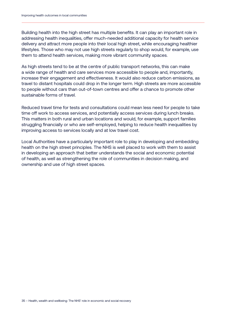Building health into the high street has multiple benefits. It can play an important role in addressing health inequalities, offer much-needed additional capacity for health service delivery and attract more people into their local high street, while encouraging healthier lifestyles. Those who may not use high streets regularly to shop would, for example, use them to attend health services, making more vibrant community spaces.

As high streets tend to be at the centre of public transport networks, this can make a wide range of health and care services more accessible to people and, importantly, increase their engagement and effectiveness. It would also reduce carbon emissions, as travel to distant hospitals could drop in the longer term. High streets are more accessible to people without cars than out-of-town centres and offer a chance to promote other sustainable forms of travel.

Reduced travel time for tests and consultations could mean less need for people to take time off work to access services, and potentially access services during lunch breaks. This matters in both rural and urban locations and would, for example, support families struggling financially or who are self-employed, helping to reduce health inequalities by improving access to services locally and at low travel cost.

Local Authorities have a particularly important role to play in developing and embedding health on the high street principles. The NHS is well placed to work with them to assist in developing an approach that better understands the social and economic potential of health, as well as strengthening the role of communities in decision making, and ownership and use of high street spaces.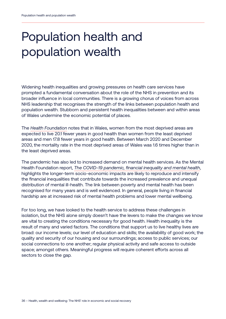# Population health and population wealth

Widening health inequalities and growing pressures on health care services have prompted a fundamental conversation about the role of the NHS in prevention and its broader influence in local communities. There is a growing chorus of voices from across NHS leadership that recognises the strength of the links between population health and population wealth. Stubborn and persistent health inequalities between and within areas of Wales undermine the economic potential of places.

The *[Health Foundation](https://www.health.org.uk/news-and-comment/charts-and-infographics/what-geographic-inequalities-in-covid-19-mortality-rates-can-tell-us-about-levelling-up)* notes that in Wales, women from the most deprived areas are expected to live 20.1 fewer years in good health than women from the least deprived areas and men 17.8 fewer years in good health. Between March 2020 and December 2020, the mortality rate in the most deprived areas of Wales was 1.6 times higher than in the least deprived areas.

The pandemic has also led to increased demand on mental health services. As the Mental Health Foundation report, *[The COVID-19 pandemic, financial inequality and mental health](https://www.mentalhealth.org.uk/sites/default/files/MHF%20The%20COVID-19%20Pandemic%201.pdf)*, highlights the longer-term socio-economic impacts are likely to reproduce and intensify the financial inequalities that contribute towards the increased prevalence and unequal distribution of mental ill-health. The link between poverty and mental health has been recognised for many years and is well evidenced. In general, people living in financial hardship are at increased risk of mental health problems and lower mental wellbeing.

For too long, we have looked to the health service to address these challenges in isolation, but the NHS alone simply doesn't have the levers to make the changes we know are vital to creating the conditions necessary for good health. Health inequality is the result of many and varied factors. The conditions that support us to live healthy lives are broad: our income levels; our level of education and skills; the availability of good work; the quality and security of our housing and our surroundings; access to public services; our social connections to one another; regular physical activity and safe access to outside space; amongst others. Meaningful progress will require coherent efforts across all sectors to close the gap.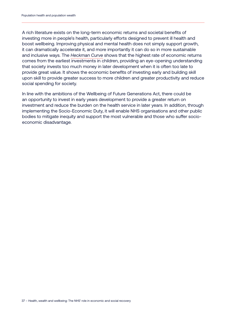A rich literature exists on the long-term economic returns and societal benefits of investing more in people's health, particularly efforts designed to prevent ill health and boost wellbeing. Improving physical and mental health does not simply support growth, it can dramatically accelerate it, and more importantly it can do so in more sustainable and inclusive ways. The *[Heckman Curve](https://heckmanequation.org/resource/the-heckman-curve/)* shows that the highest rate of economic returns comes from the earliest investments in children, providing an eye-opening understanding that society invests too much money in later development when it is often too late to provide great value. It shows the economic benefits of investing early and building skill upon skill to provide greater success to more children and greater productivity and reduce social spending for society.

In line with the ambitions of the Wellbeing of Future Generations Act, there could be an opportunity to invest in early years development to provide a greater return on investment and reduce the burden on the health service in later years. In addition, through implementing the Socio-Economic Duty, it will enable NHS organisations and other public bodies to mitigate inequity and support the most vulnerable and those who suffer socioeconomic disadvantage.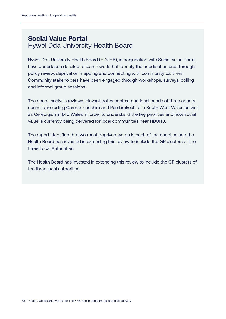#### **Social Value Portal** Hywel Dda University Health Board

Hywel Dda University Health Board (HDUHB), in conjunction with Social Value Portal, have undertaken detailed research work that identify the needs of an area through policy review, deprivation mapping and connecting with community partners. Community stakeholders have been engaged through workshops, surveys, polling and informal group sessions.

The needs analysis reviews relevant policy context and local needs of three county councils, including Carmarthenshire and Pembrokeshire in South West Wales as well as Ceredigion in Mid Wales, in order to understand the key priorities and how social value is currently being delivered for local communities near HDUHB.

The report identified the two most deprived wards in each of the counties and the Health Board has invested in extending this review to include the GP clusters of the three Local Authorities.

The Health Board has invested in extending this review to include the GP clusters of the three local authorities.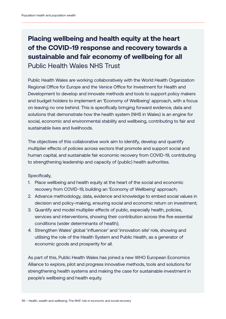#### **Placing wellbeing and health equity at the heart of the COVID-19 response and recovery towards a sustainable and fair economy of wellbeing for all** Public Health Wales NHS Trust

Public Health Wales are working collaboratively with the World Health Organization Regional Office for Europe and the Venice Office for Investment for Health and Development to develop and innovate methods and tools to support policy makers and budget holders to implement an 'Economy of Wellbeing' approach, with a focus on leaving no one behind. This is specifically bringing forward evidence, data and solutions that demonstrate how the health system (NHS in Wales) is an engine for social, economic and environmental stability and wellbeing, contributing to fair and sustainable lives and livelihoods.

The objectives of this collaborative work aim to identify, develop and quantify multiplier effects of policies across sectors that promote and support social and human capital, and sustainable fair economic recovery from COVID-19, contributing to strengthening leadership and capacity of (public) health authorities.

Specifically,

- 1. Place wellbeing and health equity at the heart of the social and economic recovery from COVID-19, building an 'Economy of Wellbeing' approach;
- 2. Advance methodology, data, evidence and knowledge to embed social values in decision and policy-making, ensuring social and economic return on investment;
- 3. Quantify and model multiplier effects of public, especially health, policies, services and interventions, showing their contribution across the five essential conditions (wider determinants of health);
- 4. Strengthen Wales' global 'influencer' and 'innovation site' role, showing and utilising the role of the Health System and Public Health, as a generator of economic goods and prosperity for all.

As part of this, Public Health Wales has joined a new WHO European Economics Alliance to explore, pilot and progress innovative methods, tools and solutions for strengthening health systems and making the case for sustainable investment in people's wellbeing and health equity.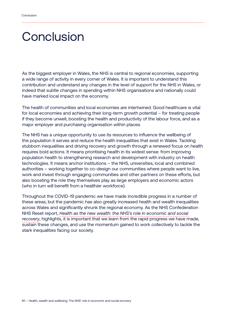### **Conclusion**

As the biggest employer in Wales, the NHS is central to regional economies, supporting a wide range of activity in every corner of Wales. It is important to understand this contribution and understand any changes in the level of support for the NHS in Wales, or indeed that subtle changes in spending within NHS organisations and nationally could have marked local impact on the economy.

The health of communities and local economies are intertwined. Good healthcare is vital for local economies and achieving their long-term growth potential – for treating people if they become unwell, boosting the health and productivity of the labour force, and as a major employer and purchasing organisation within places.

The NHS has a unique opportunity to use its resources to influence the wellbeing of the population it serves and reduce the health inequalities that exist in Wales. Tackling stubborn inequalities and driving recovery and growth through a renewed focus on health requires bold actions. It means prioritising health in its widest sense: from improving population health to strengthening research and development with industry on health technologies. It means anchor institutions – the NHS, universities, local and combined authorities – working together to co-design our communities where people want to live, work and invest through engaging communities and other partners on these efforts, but also boosting the role they themselves play as large employers and economic actors (who in turn will benefit from a healthier workforce).

Throughout the COVID-19 pandemic we have made incredible progress in a number of these areas, but the pandemic has also greatly increased health and wealth inequalities across Wales and significantly shrunk the regional economy. As the NHS Confederation NHS Reset report, *[Health as the new wealth: the NHS's role in economic and social](https://www.nhsconfed.org/publications/health-new-wealth)  [recovery](https://www.nhsconfed.org/publications/health-new-wealth)*, highlights, it is important that we learn from the rapid progress we have made, sustain these changes, and use the momentum gained to work collectively to tackle the stark inequalities facing our society.